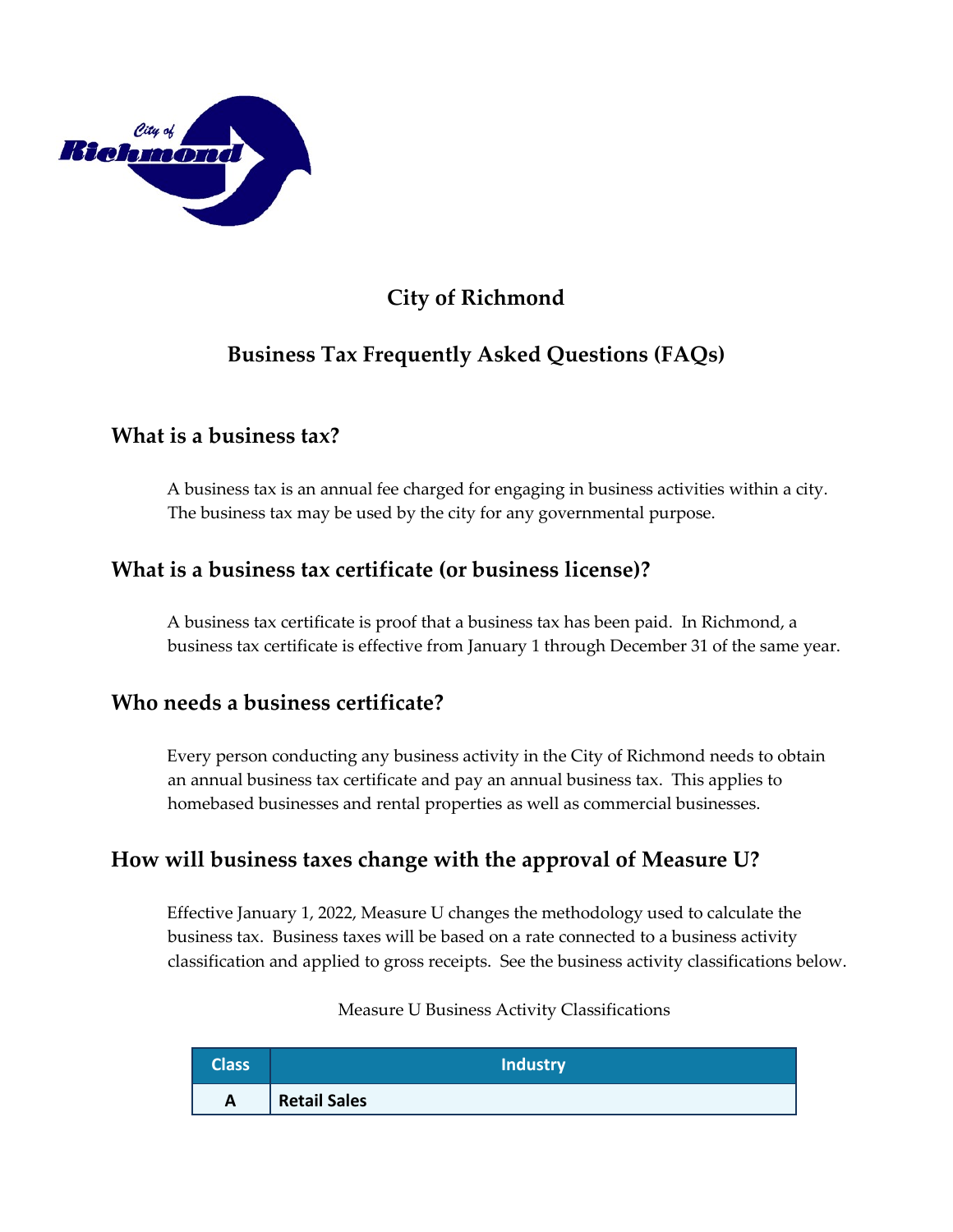

# **City of Richmond**

# **Business Tax Frequently Asked Questions (FAQs)**

## **What is a business tax?**

A business tax is an annual fee charged for engaging in business activities within a city. The business tax may be used by the city for any governmental purpose.

## **What is a business tax certificate (or business license)?**

A business tax certificate is proof that a business tax has been paid. In Richmond, a business tax certificate is effective from January 1 through December 31 of the same year.

## **Who needs a business certificate?**

Every person conducting any business activity in the City of Richmond needs to obtain an annual business tax certificate and pay an annual business tax. This applies to homebased businesses and rental properties as well as commercial businesses.

## **How will business taxes change with the approval of Measure U?**

Effective January 1, 2022, Measure U changes the methodology used to calculate the business tax. Business taxes will be based on a rate connected to a business activity classification and applied to gross receipts. See the business activity classifications below.

Measure U Business Activity Classifications

| <b>Class</b> | <b>Industry</b>     |
|--------------|---------------------|
| $\mathbf{A}$ | <b>Retail Sales</b> |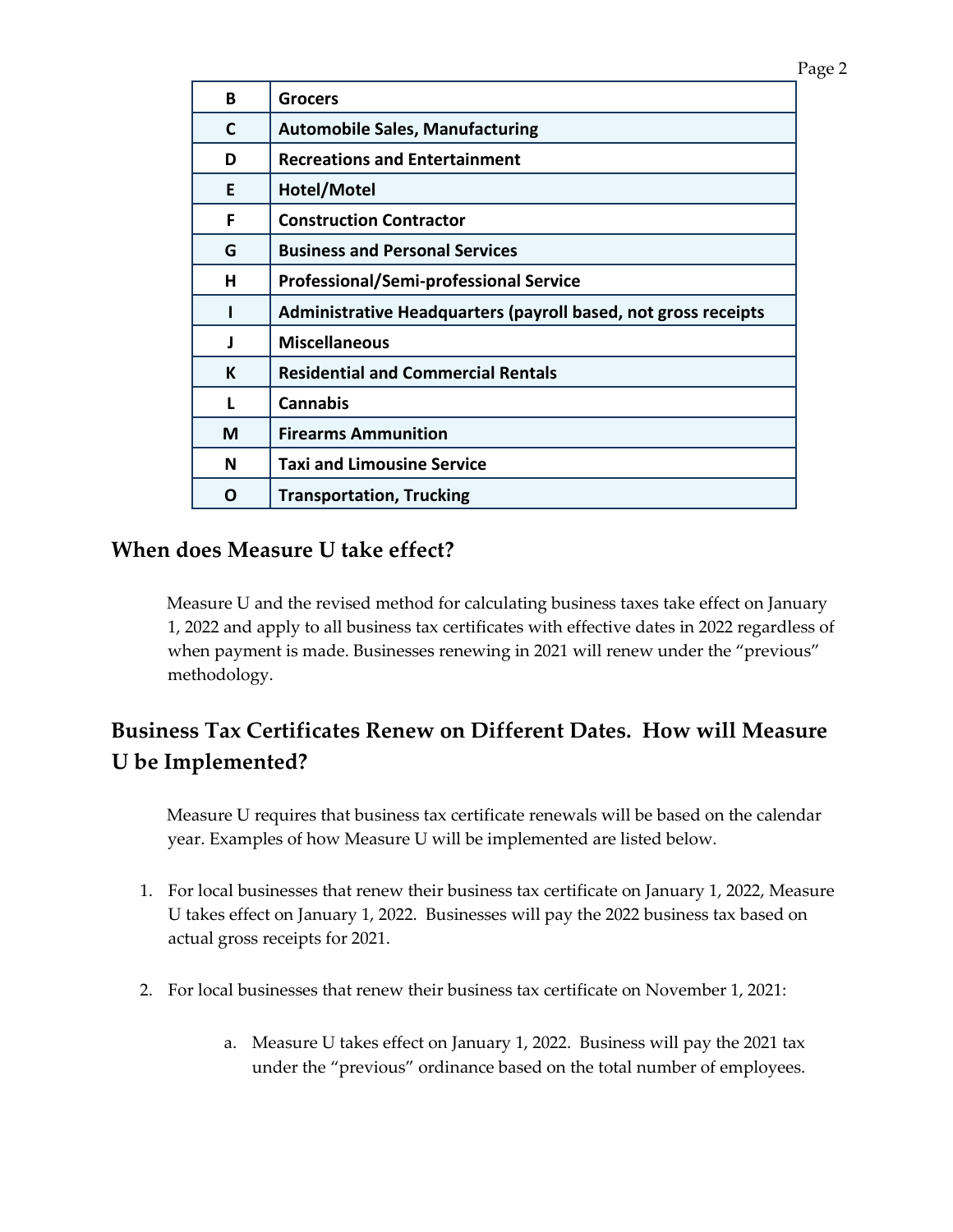| B | Grocers                                                        |
|---|----------------------------------------------------------------|
| C | <b>Automobile Sales, Manufacturing</b>                         |
| D | <b>Recreations and Entertainment</b>                           |
| Е | Hotel/Motel                                                    |
| F | <b>Construction Contractor</b>                                 |
| G | <b>Business and Personal Services</b>                          |
| н | <b>Professional/Semi-professional Service</b>                  |
|   | Administrative Headquarters (payroll based, not gross receipts |
| J | <b>Miscellaneous</b>                                           |
| K | <b>Residential and Commercial Rentals</b>                      |
| L | <b>Cannabis</b>                                                |
| М | <b>Firearms Ammunition</b>                                     |
| N | <b>Taxi and Limousine Service</b>                              |
| O | <b>Transportation, Trucking</b>                                |

### **When does Measure U take effect?**

Measure U and the revised method for calculating business taxes take effect on January 1, 2022 and apply to all business tax certificates with effective dates in 2022 regardless of when payment is made. Businesses renewing in 2021 will renew under the "previous" methodology.

# **Business Tax Certificates Renew on Different Dates. How will Measure U be Implemented?**

Measure U requires that business tax certificate renewals will be based on the calendar year. Examples of how Measure U will be implemented are listed below.

- 1. For local businesses that renew their business tax certificate on January 1, 2022, Measure U takes effect on January 1, 2022. Businesses will pay the 2022 business tax based on actual gross receipts for 2021.
- 2. For local businesses that renew their business tax certificate on November 1, 2021:
	- a. Measure U takes effect on January 1, 2022. Business will pay the 2021 tax under the "previous" ordinance based on the total number of employees.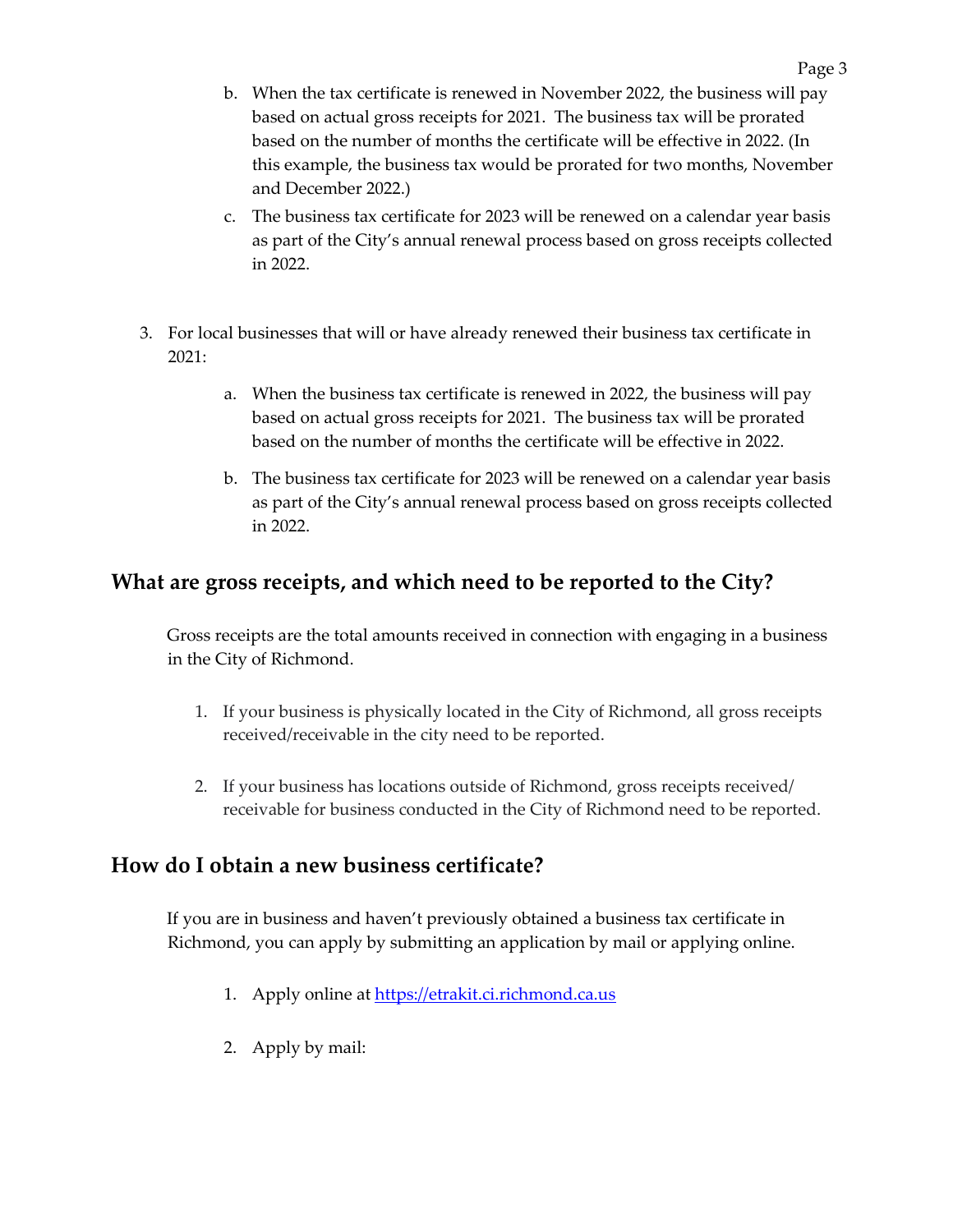- b. When the tax certificate is renewed in November 2022, the business will pay based on actual gross receipts for 2021. The business tax will be prorated based on the number of months the certificate will be effective in 2022. (In this example, the business tax would be prorated for two months, November and December 2022.)
- c. The business tax certificate for 2023 will be renewed on a calendar year basis as part of the City's annual renewal process based on gross receipts collected in 2022.
- 3. For local businesses that will or have already renewed their business tax certificate in 2021:
	- a. When the business tax certificate is renewed in 2022, the business will pay based on actual gross receipts for 2021. The business tax will be prorated based on the number of months the certificate will be effective in 2022.
	- b. The business tax certificate for 2023 will be renewed on a calendar year basis as part of the City's annual renewal process based on gross receipts collected in 2022.

## **What are gross receipts, and which need to be reported to the City?**

Gross receipts are the total amounts received in connection with engaging in a business in the City of Richmond.

- 1. If your business is physically located in the City of Richmond, all gross receipts received/receivable in the city need to be reported.
- 2. If your business has locations outside of Richmond, gross receipts received/ receivable for business conducted in the City of Richmond need to be reported.

## **How do I obtain a new business certificate?**

If you are in business and haven't previously obtained a business tax certificate in Richmond, you can apply by submitting an application by mail or applying online.

- 1. Apply online at [https://etrakit.ci.richmond.ca.us](https://etrakit.ci.richmond.ca.us/)
- 2. Apply by mail: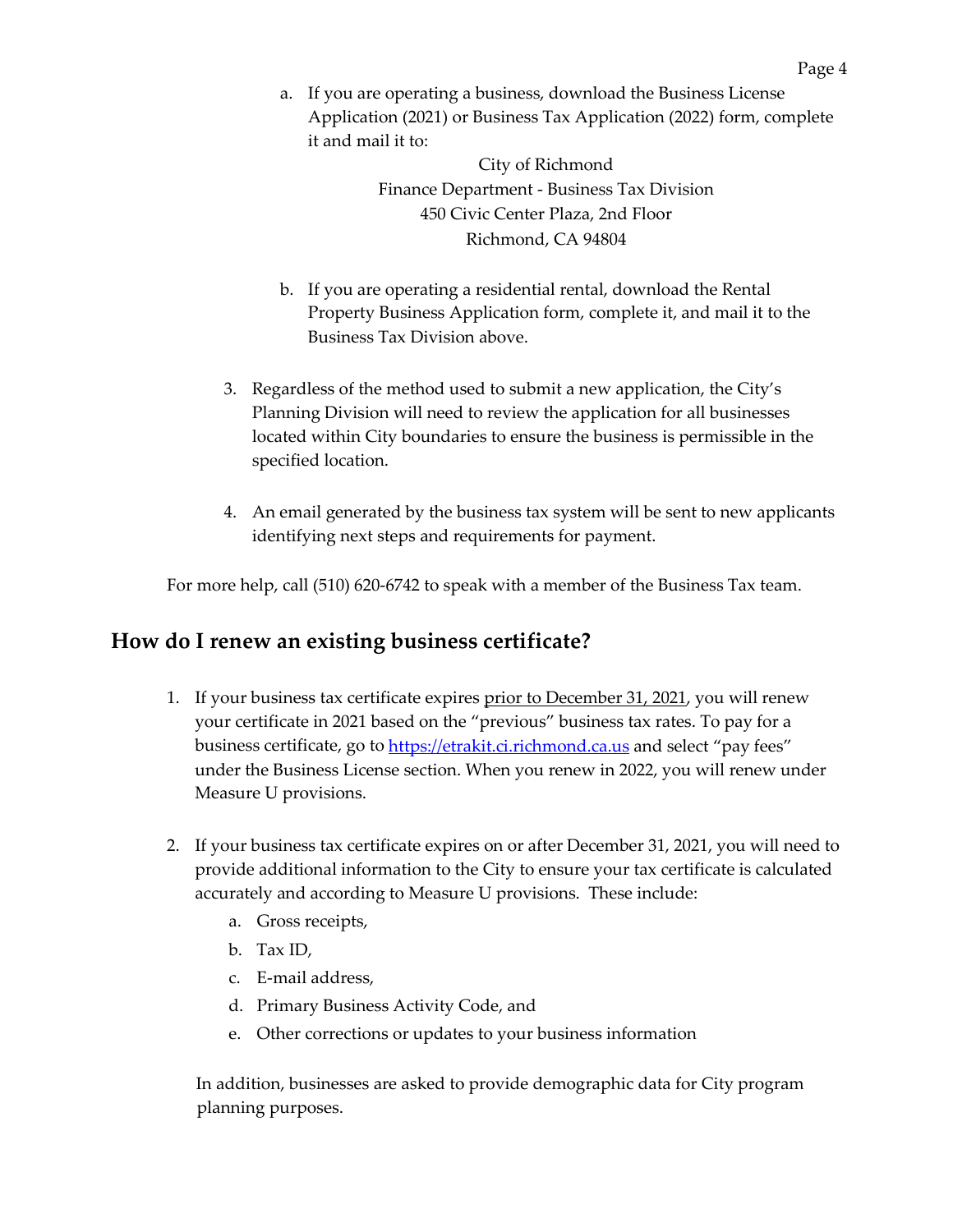a. If you are operating a business, download the Business License Application (2021) or Business Tax Application (2022) form, complete it and mail it to:

> City of Richmond Finance Department - Business Tax Division 450 Civic Center Plaza, 2nd Floor Richmond, CA 94804

- b. If you are operating a residential rental, download the Rental Property Business Application form, complete it, and mail it to the Business Tax Division above.
- 3. Regardless of the method used to submit a new application, the City's Planning Division will need to review the application for all businesses located within City boundaries to ensure the business is permissible in the specified location.
- 4. An email generated by the business tax system will be sent to new applicants identifying next steps and requirements for payment.

For more help, call (510) 620-6742 to speak with a member of the Business Tax team.

## **How do I renew an existing business certificate?**

- 1. If your business tax certificate expires prior to December 31, 2021, you will renew your certificate in 2021 based on the "previous" business tax rates. To pay for a business certificate, go t[o https://etrakit.ci.richmond.ca.us](https://etrakit.ci.richmond.ca.us/) and select "pay fees" under the Business License section. When you renew in 2022, you will renew under Measure U provisions.
- 2. If your business tax certificate expires on or after December 31, 2021, you will need to provide additional information to the City to ensure your tax certificate is calculated accurately and according to Measure U provisions. These include:
	- a. Gross receipts,
	- b. Tax ID,
	- c. E-mail address,
	- d. Primary Business Activity Code, and
	- e. Other corrections or updates to your business information

In addition, businesses are asked to provide demographic data for City program planning purposes.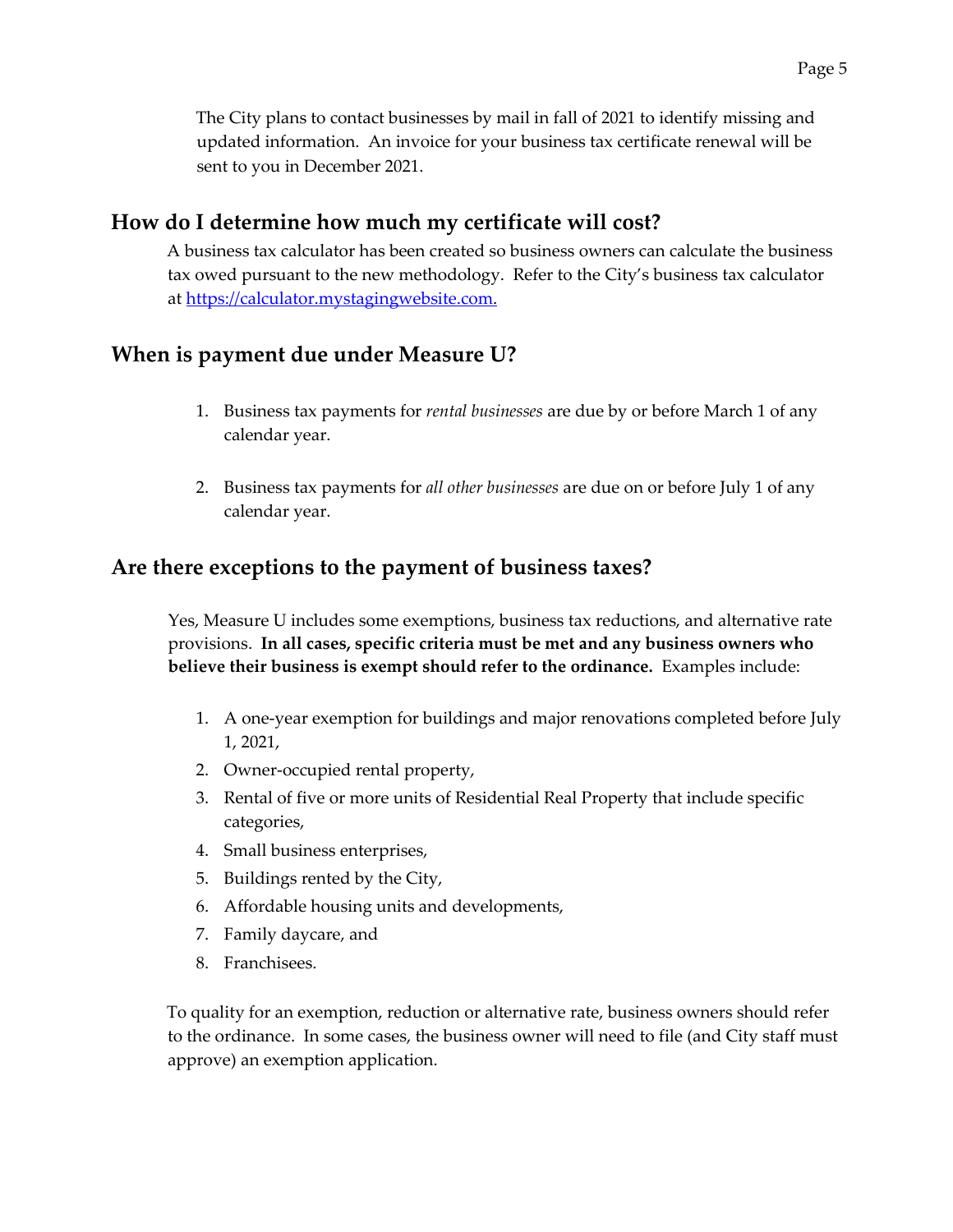The City plans to contact businesses by mail in fall of 2021 to identify missing and updated information. An invoice for your business tax certificate renewal will be sent to you in December 2021.

#### **How do I determine how much my certificate will cost?**

A business tax calculator has been created so business owners can calculate the business tax owed pursuant to the new methodology. Refer to the City's business tax calculator at [https://calculator.mystagingwebsite.com.](https://calculator.mystagingwebsite.com/)

## **When is payment due under Measure U?**

- 1. Business tax payments for *rental businesses* are due by or before March 1 of any calendar year.
- 2. Business tax payments for *all other businesses* are due on or before July 1 of any calendar year.

## **Are there exceptions to the payment of business taxes?**

Yes, Measure U includes some exemptions, business tax reductions, and alternative rate provisions. **In all cases, specific criteria must be met and any business owners who believe their business is exempt should refer to the ordinance.** Examples include:

- 1. A one-year exemption for buildings and major renovations completed before July 1, 2021,
- 2. Owner-occupied rental property,
- 3. Rental of five or more units of Residential Real Property that include specific categories,
- 4. Small business enterprises,
- 5. Buildings rented by the City,
- 6. Affordable housing units and developments,
- 7. Family daycare, and
- 8. Franchisees.

To quality for an exemption, reduction or alternative rate, business owners should refer to the ordinance. In some cases, the business owner will need to file (and City staff must approve) an exemption application.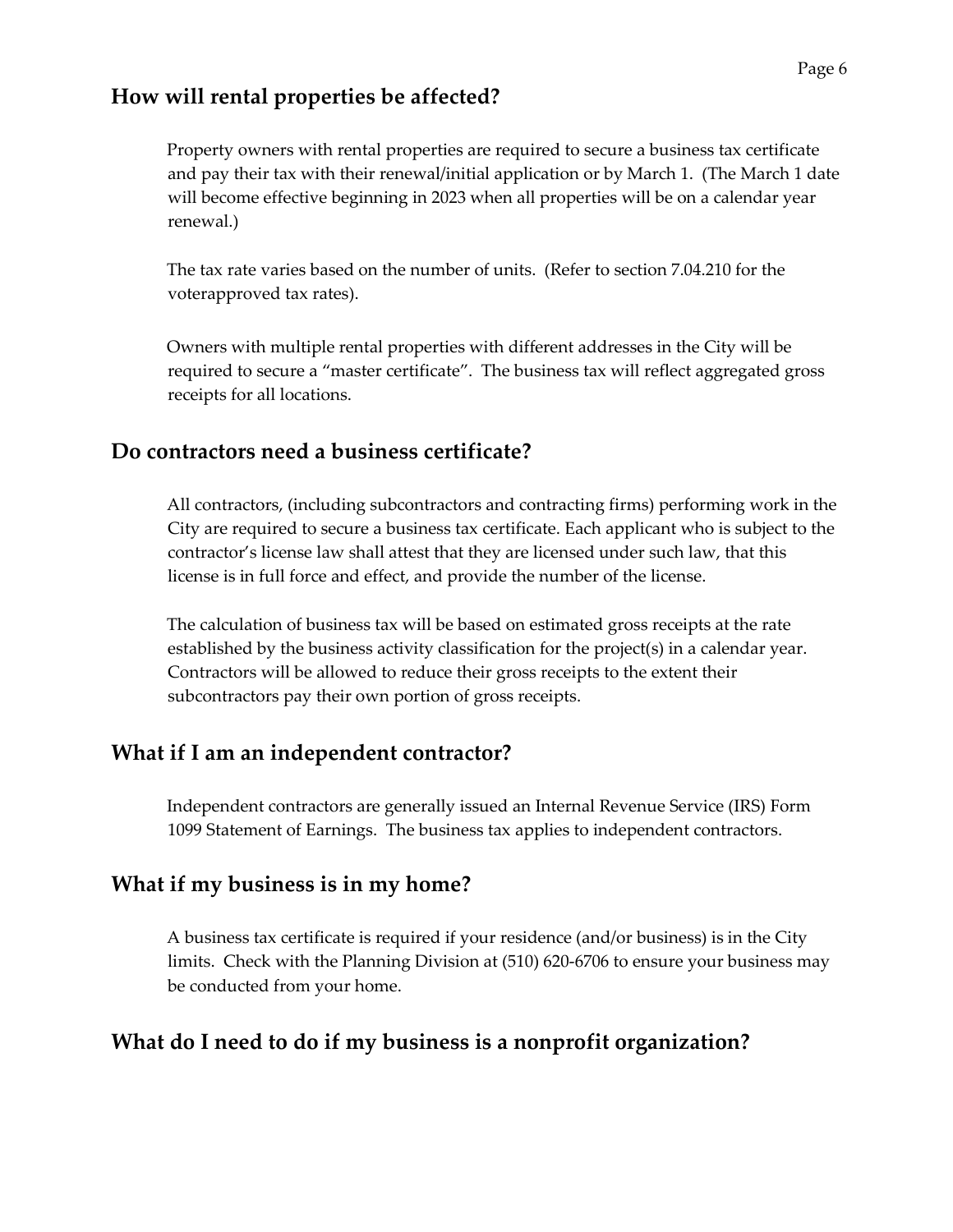## **How will rental properties be affected?**

Property owners with rental properties are required to secure a business tax certificate and pay their tax with their renewal/initial application or by March 1. (The March 1 date will become effective beginning in 2023 when all properties will be on a calendar year renewal.)

The tax rate varies based on the number of units. (Refer to section 7.04.210 for the voterapproved tax rates).

Owners with multiple rental properties with different addresses in the City will be required to secure a "master certificate". The business tax will reflect aggregated gross receipts for all locations.

## **Do contractors need a business certificate?**

All contractors, (including subcontractors and contracting firms) performing work in the City are required to secure a business tax certificate. Each applicant who is subject to the contractor's license law shall attest that they are licensed under such law, that this license is in full force and effect, and provide the number of the license.

The calculation of business tax will be based on estimated gross receipts at the rate established by the business activity classification for the project(s) in a calendar year. Contractors will be allowed to reduce their gross receipts to the extent their subcontractors pay their own portion of gross receipts.

## **What if I am an independent contractor?**

Independent contractors are generally issued an Internal Revenue Service (IRS) Form 1099 Statement of Earnings. The business tax applies to independent contractors.

## **What if my business is in my home?**

A business tax certificate is required if your residence (and/or business) is in the City limits. Check with the Planning Division at (510) 620-6706 to ensure your business may be conducted from your home.

## **What do I need to do if my business is a nonprofit organization?**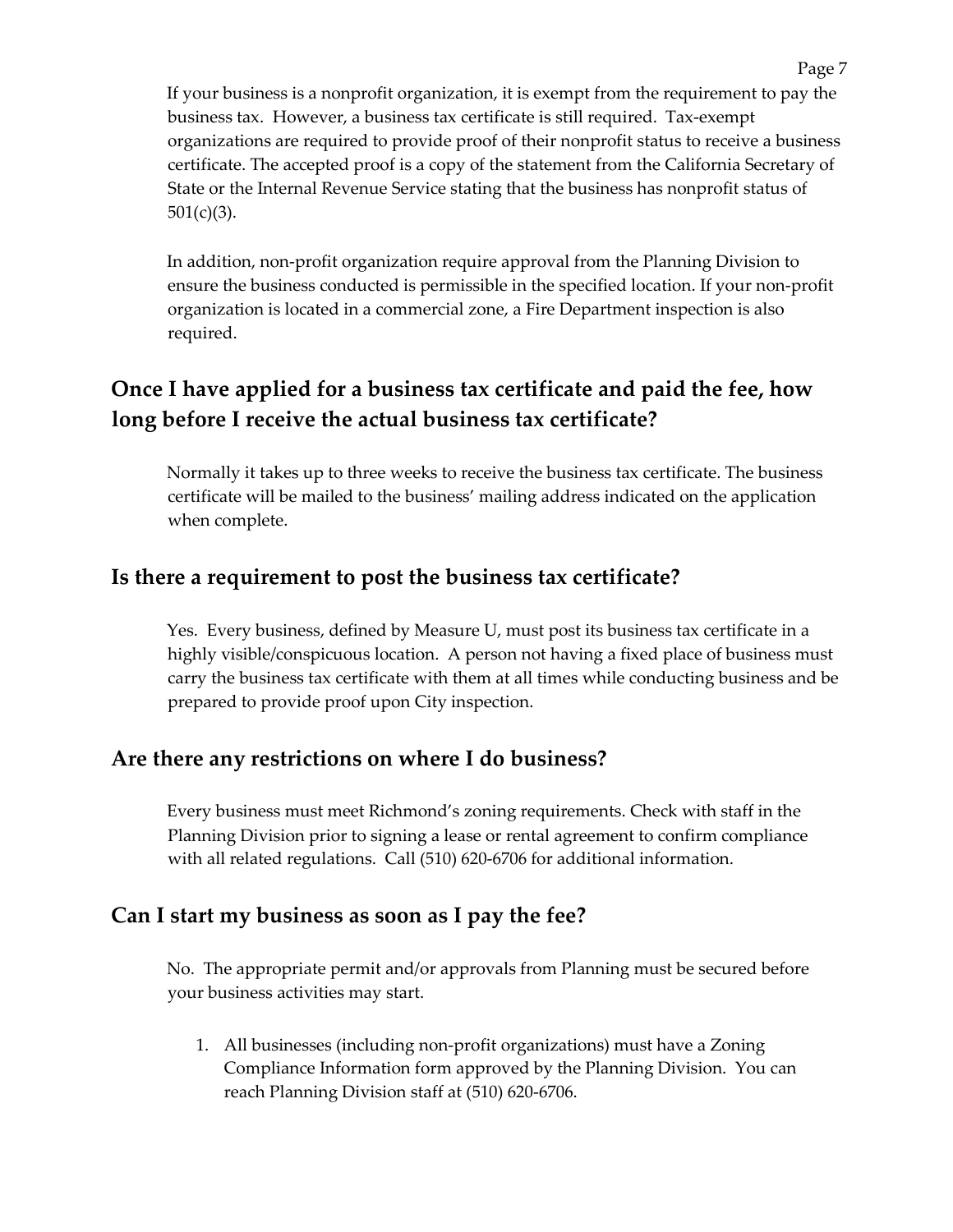If your business is a nonprofit organization, it is exempt from the requirement to pay the business tax. However, a business tax certificate is still required. Tax-exempt organizations are required to provide proof of their nonprofit status to receive a business certificate. The accepted proof is a copy of the statement from the California Secretary of State or the Internal Revenue Service stating that the business has nonprofit status of  $501(c)(3)$ .

In addition, non-profit organization require approval from the Planning Division to ensure the business conducted is permissible in the specified location. If your non-profit organization is located in a commercial zone, a Fire Department inspection is also required.

# **Once I have applied for a business tax certificate and paid the fee, how long before I receive the actual business tax certificate?**

Normally it takes up to three weeks to receive the business tax certificate. The business certificate will be mailed to the business' mailing address indicated on the application when complete.

## **Is there a requirement to post the business tax certificate?**

Yes. Every business, defined by Measure U, must post its business tax certificate in a highly visible/conspicuous location. A person not having a fixed place of business must carry the business tax certificate with them at all times while conducting business and be prepared to provide proof upon City inspection.

### **Are there any restrictions on where I do business?**

Every business must meet Richmond's zoning requirements. Check with staff in the Planning Division prior to signing a lease or rental agreement to confirm compliance with all related regulations. Call (510) 620-6706 for additional information.

#### **Can I start my business as soon as I pay the fee?**

No. The appropriate permit and/or approvals from Planning must be secured before your business activities may start.

1. All businesses (including non-profit organizations) must have a Zoning Compliance Information form approved by the Planning Division. You can reach Planning Division staff at (510) 620-6706.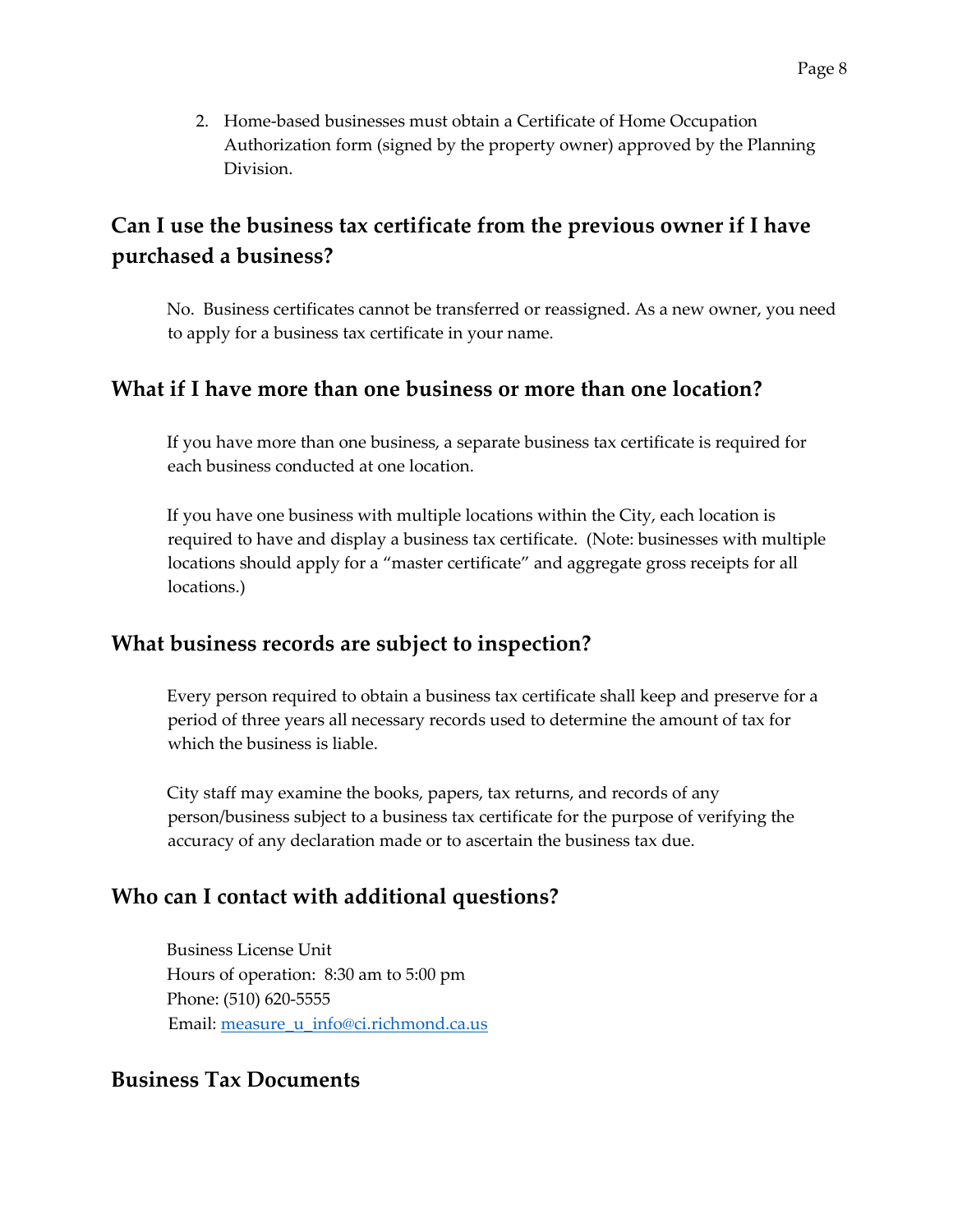2. Home-based businesses must obtain a Certificate of Home Occupation Authorization form (signed by the property owner) approved by the Planning Division.

# **Can I use the business tax certificate from the previous owner if I have purchased a business?**

No. Business certificates cannot be transferred or reassigned. As a new owner, you need to apply for a business tax certificate in your name.

### **What if I have more than one business or more than one location?**

If you have more than one business, a separate business tax certificate is required for each business conducted at one location.

If you have one business with multiple locations within the City, each location is required to have and display a business tax certificate. (Note: businesses with multiple locations should apply for a "master certificate" and aggregate gross receipts for all locations.)

## **What business records are subject to inspection?**

Every person required to obtain a business tax certificate shall keep and preserve for a period of three years all necessary records used to determine the amount of tax for which the business is liable.

City staff may examine the books, papers, tax returns, and records of any person/business subject to a business tax certificate for the purpose of verifying the accuracy of any declaration made or to ascertain the business tax due.

# **Who can I contact with additional questions?**

Business License Unit Hours of operation: 8:30 am to 5:00 pm Phone: (510) 620-5555 Email: measure u info@ci.richmond.ca.us

### **Business Tax Documents**